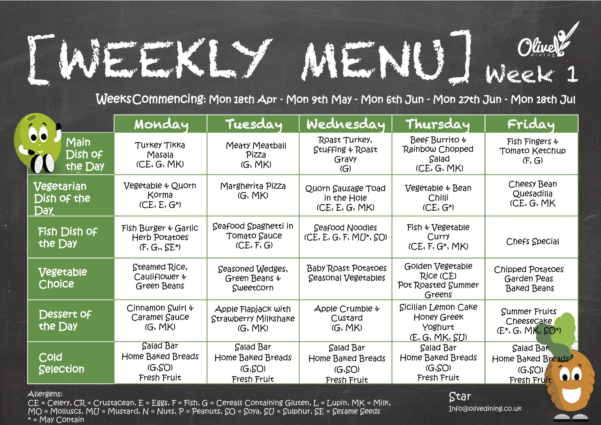## [WEEKLY MENU] Week 1

Weeks Commencing: Mon 18th Apr - Mon 9th May - Mon 6th Jun - Mon 27th Jun - Mon 18th Jul

|                                                                                                                                      | Monday                                                                 | Tuesday                                                  | Wednesday                                                                 | Thursday                                                        | Friday                                                     |  |
|--------------------------------------------------------------------------------------------------------------------------------------|------------------------------------------------------------------------|----------------------------------------------------------|---------------------------------------------------------------------------|-----------------------------------------------------------------|------------------------------------------------------------|--|
| 66<br>Main<br>Dish of<br>the Day                                                                                                     | Turkey Tikka<br>Masala<br>(CE, G, MK)                                  | Meaty Meatball<br>Pizza<br>(G, MK)                       | Roast Turkey,<br>Stuffing & Roast<br>Gravy<br>$\left(\overline{G}\right)$ | Beef Burrito +<br>Rainbow Chopped<br>Salad<br>(CE, G, MK)       | Fish Fingers $\oint$<br>Tomato Ketchup<br>(F, G)           |  |
| Vegetarian<br>Dish of the<br>Day                                                                                                     | Vegetable & Quorn<br>Korma<br>$(CE, E, G^*)$                           | Margherita Pizza<br>(G, MK)                              | Quorn Sausage Toad<br>in the Hole<br>(CE, E, G, MK)                       | Vegetable + Bean<br>Chilli<br>$(CE, G^*)$                       | Cheesy Bean<br>Quesadilla<br>(CE, G, MK                    |  |
| Fish Dish of<br>the Day                                                                                                              | Fish Burger & Garlic<br><b>Herb Potatoes</b><br>$(F, G, S E^*)$        | Seafood Spaghetti in<br>Tomato Sauce<br>(CE, F, G)       | <b>Seafood Noodles</b><br>$(CE, E, G, F, MU^*, SO)$                       | Fish & Vegetable<br>Curry<br>$(CE, F, G^*, MK)$                 | <b>Chefs Special</b>                                       |  |
| Vegetable<br>Choice                                                                                                                  | Steamed Rice,<br>Cauliflower 4<br>Green Beans                          | Seasoned Wedges,<br>Green Beans &<br>Sweetcorn           | <b>Baby Roast Potatoes</b><br><b>Seasonal Vegetables</b>                  | Golden Vegetable<br>Rice (CE)<br>Pot Roasted Summer<br>Greens   | Chipped Potatoes<br>Garden Peas<br><b>Baked Beans</b>      |  |
| Dessert of<br>the Day                                                                                                                | Cinnamon Swirl 4<br>Caramel Sauce<br>(G, MK)                           | Apple FlapjaCk with<br>Strawberry Milkshake<br>(G, MK)   | Apple Crumble 4<br>Custard<br>(G, MK)                                     | Sicilian Lemon Cake<br>Honey Greek<br>Yoghurt<br>(E, G, MK, SU) | <b>Summer Fruits</b><br>Cheesecake<br>$(E^*, G, MK, SO^*)$ |  |
| Cold<br>Selection                                                                                                                    | <b>Salad Bar</b><br><b>Home Baked Breads</b><br>(G, SO)<br>Fresh Fruit | Salad Bar<br>Home Baked Breads<br>(G, SO)<br>Fresh Fruit | Salad Bar<br>Home Baked Breads<br>(G, SO)<br>Fresh Fruit                  | Salad Bar<br>Home Baked Breads<br>(G, SO)<br>Fresh Fruit        | Salad Bar<br>Home Baked Breads<br>(G, SO)<br>Fresh Fruit   |  |
| Allergens:<br>Star<br>$CE$ = Celery, $CR$ = Crustacean, $E$ = Eggs, F = Fish, G = Cereals Containing Gluten, $L$ = Lupin, MK = Milk, |                                                                        |                                                          |                                                                           |                                                                 |                                                            |  |

 $MO = MO$  = Molluscs,  $MU = M$ ustard,  $N = N$ uts,  $P = Pe$ anuts,  $SO = Sova$ ,  $SU = Subpara$ nur,  $SE = Sea$ me  $Seeds$ \* = May Contain

Info@olivedining.co.uk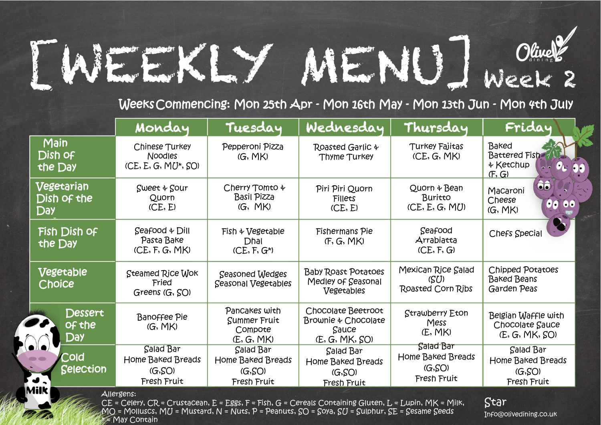## [WEEKLY MENU] Week 2

Weeks Commencing: Mon 25th Apr - Mon 16th May - Mon 13th Jun - Mon 4th July

|                                                 | Monday                                                          | Tuesday                                                  | Wednesday                                                            | Thursday                                                 | Friday                                                                                |
|-------------------------------------------------|-----------------------------------------------------------------|----------------------------------------------------------|----------------------------------------------------------------------|----------------------------------------------------------|---------------------------------------------------------------------------------------|
| Main<br>Dish of<br>the Day                      | Chinese Turkey<br><b>Noodles</b><br>$(CE, E, G, MU^*, SO)$      | Pepperoni Pizza<br>(G, MK)                               | Roasted Garlic +<br>Thyme Turkey                                     | Turkey Fajitas<br>(CE, G, MK)                            | Baked<br><b>Battered Fish</b><br>$4$ Ketchup<br>$O_{L}$ 00<br>$\sim$ $\sim$<br>(F, G) |
| Vegetarian<br>Dish of the<br><b>Day</b>         | Sweet + Sour<br>Quorn<br>(CE, E)                                | Cherry Tomto +<br><b>Basil Pizza</b><br>(G, MK)          | Piri Piri Quorn<br>Fillets<br>(CE, E)                                | Quorn $4$ Bean<br>Buritto<br>(CE, E, G, MU)              | ÔÔ<br>Macaroni<br>Cheese<br>$\bullet$<br>$\bullet$<br>(G, MK)                         |
| Fish Dish of<br>the Day                         | Seafood & Dill<br>Pasta Bake<br>(CE, F, G, MK)                  | $Fish \triangleleft Vegetable$<br>Dhal<br>$(CE, F, G^*)$ | Fishermans Pie<br>(F, G, MK)                                         | Seafood<br>Arrabiatta<br>(CE, F, G)                      | <b>Chefs Special</b>                                                                  |
| Vegetable<br><b>Choice</b>                      | Steamed Rice Wok<br>Fried<br>Greens (G, SO)                     | <b>Seasoned Wedges</b><br><b>Seasonal Vegetables</b>     | <b>Baby Roast Potatoes</b><br>Medley of Seasonal<br>Vegetables       | Mexican Rice Salad<br>(SU)<br>Roasted Corn Ribs          | Chipped Potatoes<br><b>Baked Beans</b><br>Garden Peas                                 |
| Dessert<br>of the<br>Day                        | <b>Banoffee Pie</b><br>(G, MK)                                  | Pancakes with<br>Summer Fruit<br>Compote<br>(E, G, MK)   | Chocolate Beetroot<br>Brownie & Chocolate<br>Sauce<br>(E, G, MK, SO) | Strawberry Eton<br>Mess<br>(E, MK)                       | Belgian Waffle with<br>Chocolate Sauce<br>(E, G, MK, SO)                              |
| Cold<br>Selection<br>$\bullet$ .<br><b>Milk</b> | <b>Salad Bar</b><br>Home Baked Breads<br>(G, SO)<br>Fresh Fruit | Salad Bar<br>Home Baked Breads<br>(G, SO)<br>Fresh Fruit | Salad Bar<br>Home Baked Breads<br>(G, SO)<br>Fresh Fruit             | Salad Bar<br>Home Baked Breads<br>(G, SO)<br>Fresh Fruit | Salad Bar<br>Home Baked Breads<br>(G, SO)<br>Fresh Fruit                              |

Celery,  $\emph{CR}$  = Crustacean, E = Eggs, F = Fish, G = Cereals Containing Gluten, L = Lupin, MK = Milk,  $MO = MO$ luscs,  $MU = M$ ustard,  $N = N$ uts,  $P = Pe$ anuts,  $SO = S$ oya,  $SU = S$ ulphur,  $SE = S$ esame  $S$ eeds  $M$ ay Contain

Star

Info@olivedining.co.uk